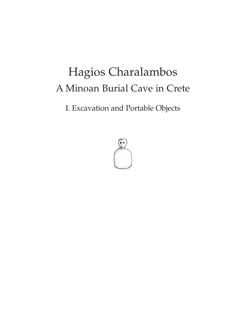# Hagios Charalambos A Minoan Burial Cave in Crete

I. Excavation and Portable Objects

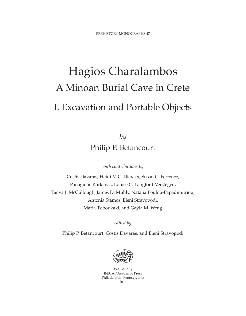# Hagios Charalambos A Minoan Burial Cave in Crete I. Excavation and Portable Objects

*by* Philip P. Betancourt

*with contributions by*

Costis Davaras, Heidi M.C. Dierckx, Susan C. Ferrence, Panagiotis Karkanas, Louise C. Langford-Verstegen, Tanya J. McCullough, James D. Muhly, Natalia Poulou-Papadimitriou, Antonia Stamos, Eleni Stravopodi, Maria Tsiboukaki, and Gayla M. Weng

*edited by*

Philip P. Betancourt, Costis Davaras, and Eleni Stravopodi



*Published by* INSTAP Academic Press Philadelphia, Pennsylvania 2014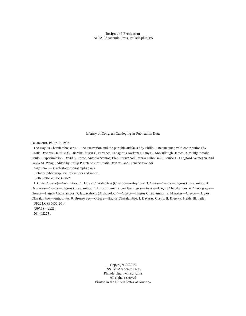**Design and Production** INSTAP Academic Press, Philadelphia, PA

Library of Congress Cataloging-in-Publication Data

Betancourt, Philip P., 1936-

The Hagios Charalambos cave I : the excavation and the portable artifacts / by Philip P. Betancourt ; with contributions by Costis Davaras, Heidi M.C. Dierckx, Susan C. Ferrence, Panagiotis Karkanas, Tanya J. McCullough, James D. Muhly, Natalia Poulou-Papadimitriou, David S. Reese, Antonia Stamos, Eleni Stravopodi, Maria Tsiboukaki, Louise L. Langford-Verstegen, and Gayla M. Weng ; edited by Philip P. Betancourt, Costis Davaras, and Eleni Stravopodi.

pages cm. — (Prehistory monographs ; 47)

Includes bibliographical references and index.

ISBN 978-1-931534-80-2

1. Crete (Greece)—Antiquities. 2. Hagios Charalambos (Greece)—Antiquities. 3. Caves—Greece—Hagios Charalambos. 4. Ossuaries—Greece—Hagios Charalambos. 5. Human remains (Archaeology)—Greece—Hagios Charalambos. 6. Grave goods— Greece—Hagios Charalambos. 7. Excavations (Archaeology)—Greece—Hagios Charalambos. 8. Minoans—Greece—Hagios Charalambos—Antiquities. 9. Bronze age—Greece—Hagios Charalambos. I. Davaras, Costis. II. Dierckx, Heidi. III. Title. DF221.C8B5635 2014

939'.18—dc23 2014022231

> Copyright © 2014 INSTAP Academic Press Philadelphia, Pennsylvania All rights reserved Printed in the United States of America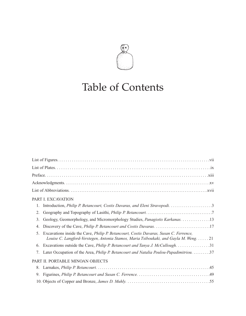

## Table of Contents

|        | PART I. EXCAVATION                                                                                                                                                            |
|--------|-------------------------------------------------------------------------------------------------------------------------------------------------------------------------------|
| 1.     | Introduction, Philip P. Betancourt, Costis Davaras, and Eleni Stravopodi. 3                                                                                                   |
| 2.     |                                                                                                                                                                               |
| 3.     | Geology, Geomorphology, and Micromorphology Studies, Panagiotis Karkanas. 13                                                                                                  |
| 4.     |                                                                                                                                                                               |
| $\sim$ | Excavations inside the Cave, Philip P. Betancourt, Costis Davaras, Susan C. Ferrence,<br>Louise C. Langford-Verstegen, Antonia Stamos, Maria Tsiboukaki, and Gayla M. Weng 21 |
| 6.     | Excavations outside the Cave, <i>Philip P. Betancourt and Tanya J. McCullough.</i> 31                                                                                         |
| 7.     | Later Occupation of the Area, <i>Philip P. Betancourt and Natalia Poulou-Papadimitriou.</i> 37                                                                                |
|        | PART II. PORTABLE MINOAN OBJECTS                                                                                                                                              |
| 8.     |                                                                                                                                                                               |
| 9.     |                                                                                                                                                                               |
|        |                                                                                                                                                                               |
|        |                                                                                                                                                                               |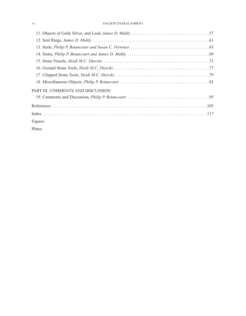#### vi HAGIOS CHARALAMBOS I

| PART III. COMMENTS AND DISCUSSION |  |  |  |  |
|-----------------------------------|--|--|--|--|
|                                   |  |  |  |  |
|                                   |  |  |  |  |
|                                   |  |  |  |  |
| Figures                           |  |  |  |  |
| Plates                            |  |  |  |  |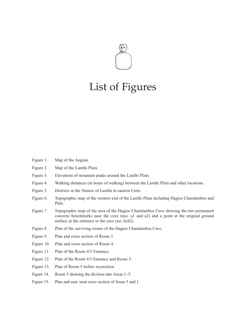

#### List of Figures

- Figure 1. Map of the Aegean.
- Figure 2. Map of the Lasithi Plain.
- Figure 3. Elevations of mountain peaks around the Lasithi Plain.
- Figure 4. Walking distances (in hours of walking) between the Lasithi Plain and other locations.
- Figure 5. Districts in the Nomos of Lasithi in eastern Crete.
- Figure 6. Topographic map of the western end of the Lasithi Plain including Hagios Charalambos and Plati.
- Figure 7. Topographic map of the area of the Hagios Charalambos Cave showing the two permanent concrete benchmarks near the cave (nos. a1 and a2) and a point at the original ground surface at the entrance to the cave (no. hch2).
- Figure 8. Plan of the surviving rooms of the Hagios Charalambos Cave.
- Figure 9. Plan and cross section of Room 3.
- Figure 10. Plan and cross section of Room 4.
- Figure 11. Plan of the Room 4/5 Entrance.
- Figure 12. Plan of the Room 4/5 Entrance and Room 5.
- Figure 13. Plan of Room 5 before excavation.
- Figure 14. Room 5 showing the division into Areas 1–5.
- Figure 15. Plan and east–west cross section of Areas 5 and 1.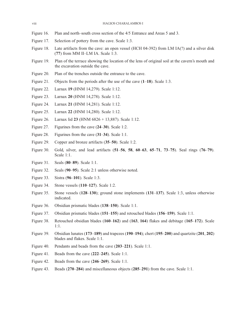viii HAGIOS CHARALAMBOS I

- Figure 16. Plan and north–south cross section of the 4/5 Entrance and Areas 5 and 3.
- Figure 17. Selection of pottery from the cave. Scale 1:3.
- Figure 18. Late artifacts from the cave: an open vessel (HCH 04-392) from LM IA(?) and a silver disk (**77**) from MM II–LM IA. Scale 1:3.
- Figure 19. Plan of the terrace showing the location of the lens of original soil at the cavern's mouth and the excavation outside the cave.
- Figure 20. Plan of the trenches outside the entrance to the cave.
- Figure 21. Objects from the periods after the use of the cave (**1**–**18**). Scale 1:3.
- Figure 22. Larnax **19** (HNM 14,279). Scale 1:12.
- Figure 23. Larnax **20** (HNM 14,278). Scale 1:12.
- Figure 24. Larnax **21** (HNM 14,281). Scale 1:12.
- Figure 25. Larnax **22** (HNM 14,280). Scale 1:12.
- Figure 26. Larnax lid **23** (HNM 6826 + 13,887). Scale 1:12.
- Figure 27. Figurines from the cave (**24**–**30**). Scale 1:2.
- Figure 28. Figurines from the cave (**31**–**34**). Scale 1:1.
- Figure 29. Copper and bronze artifacts (**35**–**50**). Scale 1:2.
- Figure 30. Gold, silver, and lead artifacts (**51**–**56**, **58**, **60**–**63**, **65**–**71**, **73**–**75**). Seal rings (**76**–**79**). Scale 1:1.
- Figure 31. Seals (**80**–**89**). Scale 1:1.
- Figure 32. Seals (**90**–**95**). Scale 2:1 unless otherwise noted.
- Figure 33. Sistra (**96**–**101**). Scale 1:3.
- Figure 34. Stone vessels (**110**–**127**). Scale 1:2.
- Figure 35. Stone vessels (**128**–**130**); ground stone implements (**131**–**137**). Scale 1:3, unless otherwise indicated.
- Figure 36. Obsidian prismatic blades (**138**–**150**). Scale 1:1.
- Figure 37. Obsidian prismatic blades (**151**–**155**) and retouched blades (**156**–**159**). Scale 1:1.
- Figure 38. Retouched obsidian blades (**160**–**162**) and (**163**, **164**) flakes and debitage (**165**–**172**). Scale 1:1.
- Figure 39. Obsidian lunates (**173**–**189**) and trapezes (**190**–**194**); chert (**195**–**200**) and quartzite (**201**, **202**) blades and flakes. Scale 1:1.
- Figure 40. Pendants and beads from the cave (**203**–**221**). Scale 1:1.
- Figure 41. Beads from the cave (**222**–**245**). Scale 1:1.
- Figure 42. Beads from the cave (**246**–**269**). Scale 1:1.
- Figure 43. Beads (**270**–**284**) and miscellaneous objects (**285**–**291**) from the cave. Scale 1:1.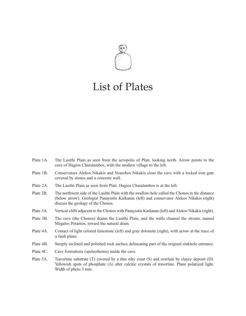

#### List of Plates

- Plate 1A. The Lasithi Plain as seen from the acropolis of Plati, looking north. Arrow points to the cave of Hagios Charalambos, with the modern village to the left.
- Plate 1B. Conservators Alekos Nikakis and Nearchos Nikakis close the cave with a locked iron gate covered by stones and a concrete wall.
- Plate 2A. The Lasithi Plain as seen from Plati. Hagios Charalambos is at the left.
- Plate 2B. The northwest side of the Lasithi Plain with the swallow-hole called the Chonos in the distance (below arrow). Geologist Panayiotis Karkanas (left) and conservator Alekos Nikakis (right) discuss the geology of the Chonos.
- Plate 3A. Vertical cliffs adjacent to the Chonos with Panayiotis Karkanas (left) and Alekos Nikakis (right).
- Plate 3B. The cave (the Chonos) drains the Lasithi Plain, and the walls channel the stream, named Megalos Potamos, toward the natural drain.
- Plate 4A. Contact of light colored limestone (left) and gray dolomite (right), with arrow at the trace of a fault plane.
- Plate 4B. Steeply inclined and polished rock surface delineating part of the original sinkhole entrance.
- Plate 4C. Cave formations (speleothems) inside the cave.
- Plate 5A. Travertine substrate (T) covered by a thin silty crust (S) and overlain by clayey deposit (D). Yellowish spots of phosphate (A) alter calcitic crystals of travertine. Plane polarized light. Width of photo 3 mm.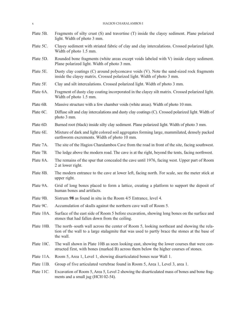| $\boldsymbol{\chi}$ | HAGIOS CHARALAMBOS I                                                                                                                                                                                     |  |  |  |  |  |
|---------------------|----------------------------------------------------------------------------------------------------------------------------------------------------------------------------------------------------------|--|--|--|--|--|
| Plate 5B.           | Fragments of silty crust (S) and travertine (T) inside the clayey sediment. Plane polarized<br>light. Width of photo 3 mm.                                                                               |  |  |  |  |  |
| Plate 5C.           | Clayey sediment with striated fabric of clay and clay intercalations. Crossed polarized light.<br>Width of photo 1.5 mm.                                                                                 |  |  |  |  |  |
| Plate 5D.           | Rounded bone fragments (white areas except voids labeled with V) inside clayey sediment.<br>Plane polarized light. Width of photo 3 mm.                                                                  |  |  |  |  |  |
| Plate 5E.           | Dusty clay coatings (C) around polyconcave voids (V). Note the sand-sized rock fragments<br>inside the clayey matrix. Crossed polarized light. Width of photo 3 mm.                                      |  |  |  |  |  |
| Plate 5F.           | Clay and silt intercalations. Crossed polarized light. Width of photo 3 mm.                                                                                                                              |  |  |  |  |  |
| Plate 6A.           | Fragment of dusty clay coating incorporated in the clayey silt matrix. Crossed polarized light.<br>Width of photo 1.5 mm.                                                                                |  |  |  |  |  |
| Plate 6B.           | Massive structure with a few chamber voids (white areas). Width of photo 10 mm.                                                                                                                          |  |  |  |  |  |
| Plate 6C.           | Diffuse silt and clay intercalations and dusty clay coatings (C). Crossed polarized light. Width of<br>photo 3 mm.                                                                                       |  |  |  |  |  |
| Plate 6D.           | Burned root (black) inside silty clay sediment. Plane polarized light. Width of photo 3 mm.                                                                                                              |  |  |  |  |  |
| Plate 6E.           | Mixture of dark and light colored soil aggregates forming large, mammilated, densely packed<br>earthworm excrements. Width of photo 10 mm.                                                               |  |  |  |  |  |
| Plate 7A.           | The site of the Hagios Charalambos Cave from the road in front of the site, facing southwest.                                                                                                            |  |  |  |  |  |
| Plate 7B.           | The ledge above the modern road. The cave is at the right, beyond the tents, facing northwest.                                                                                                           |  |  |  |  |  |
| Plate 8A.           | The remains of the spur that concealed the cave until 1976, facing west. Upper part of Room<br>2 at lower right.                                                                                         |  |  |  |  |  |
| Plate 8B.           | The modern entrance to the cave at lower left, facing north. For scale, see the meter stick at<br>upper right.                                                                                           |  |  |  |  |  |
| Plate 9A.           | Grid of long bones placed to form a lattice, creating a platform to support the deposit of<br>human bones and artifacts.                                                                                 |  |  |  |  |  |
| Plate 9B.           | Sistrum 98 as found in situ in the Room 4/5 Entrance, level 4.                                                                                                                                           |  |  |  |  |  |
| Plate 9C.           | Accumulation of skulls against the northern cave wall of Room 5.                                                                                                                                         |  |  |  |  |  |
| Plate 10A.          | Surface of the east side of Room 5 before excavation, showing long bones on the surface and<br>stones that had fallen down from the ceiling.                                                             |  |  |  |  |  |
| Plate 10B.          | The north–south wall across the center of Room 5, looking northeast and showing the rela-<br>tion of the wall to a large stalagmite that was used to partly brace the stones at the base of<br>the wall. |  |  |  |  |  |
| Plate 10C.          | The wall shown in Plate 10B as seen looking east, showing the lower courses that were con-<br>structed first, with bones (marked B) across them below the higher courses of stones.                      |  |  |  |  |  |
| Plate 11A.          | Room 5, Area 1, Level 1, showing disarticulated bones near Wall 1.                                                                                                                                       |  |  |  |  |  |
| Plate 11B.          | Group of five articulated vertebrae found in Room 5, Area 1, Level 3, area 1.                                                                                                                            |  |  |  |  |  |
| Plate 11C.          | Excavation of Room 5, Area 5, Level 2 showing the disarticulated mass of bones and bone frag-<br>ments and a small jug (HCH 02-54).                                                                      |  |  |  |  |  |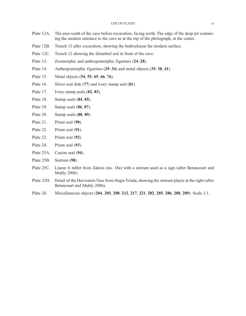- Plate 12A. The area south of the cave before excavation, facing north. The edge of the deep pit containing the modern entrance to the cave as at the top of the photograph, at the center.
- Plate 12B. Trench 13 after excavation, showing the bedrocknear the modern surface.
- Plate 12C. Trench 12 showing the disturbed soil in front of the cave.
- Plate 13. Zoomorphic and anthropomorphic figurines (**24**–**28**).
- Plate 14. Anthropomorphic figurines (**29**–**34**) and metal objects (**35**–**38**, **41**).
- Plate 15. Metal objects (**54**, **55**, **65**, **66**, **76**).
- Plate 16. Silver seal disk (**77**) and ivory stamp seal (**81**).
- Plate 17. Ivory stamp seals (**82**, **83**).
- Plate 18. Stamp seals (**84**, **85**).
- Plate 19. Stamp seals (**86**, **87**).
- Plate 20. Stamp seals (**88**, **89**).
- Plate 21. Prism seal (**90**).
- Plate 22. Prism seal (**91**).
- Plate 23. Prism seal (**92**).
- Plate 24. Prism seal (**93**).
- Plate 25A. Cusion seal (**94**).
- Plate 25B. Sistrum (**98**).
- Plate 25C. Linear A tablet from Zakros (no. 18a) with a sistrum used as a sign (after Betancourt and Muhly 2006).
- Plate 25D. Detail of the Harvesters Vase from Hagia Triada, showing the sistrum player at the right (after Betancourt and Muhly 2006).
- Plate 26. Miscellaneous objects (**204**, **205**, **208**–**212**, **217**, **221**, **282**, **285**, **286**, **288**, **289**). Scale 1:1.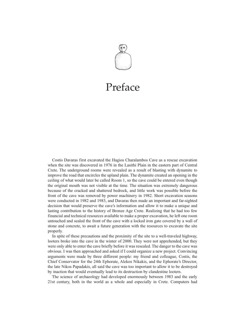

# Preface

Costis Davaras first excavated the Hagios Charalambos Cave as a rescue excavation when the site was discovered in 1976 in the Lasithi Plain in the eastern part of Central Crete. The underground rooms were revealed as a result of blasting with dynamite to improve the road that encircles the upland plain. The dynamite created an opening in the ceiling of what would later be called Room 1, so the cave could be entered even though the original mouth was not visible at the time. The situation was extremely dangerous because of the cracked and shattered bedrock, and little work was possible before the front of the cave was removed by power machinery in 1982. Short excavation seasons were conducted in 1982 and 1983, and Davaras then made an important and far-sighted decision that would preserve the cave's information and allow it to make a unique and lasting contribution to the history of Bronze Age Crete. Realizing that he had too few financial and technical resources available to make a proper excavation, he left one room untouched and sealed the front of the cave with a locked iron gate covered by a wall of stone and concrete, to await a future generation with the resources to excavate the site properly.

In spite of these precautions and the proximity of the site to a well-traveled highway, looters broke into the cave in the winter of 2000. They were not apprehended, but they were only able to enter the cave briefly before it was resealed. The danger to the cave was obvious. I was then approached and asked if I could organize a new project. Convincing arguments were made by three different people: my friend and colleague, Costis, the Chief Conservator for the 24th Ephorate, Alekos Nikakis, and the Ephorate's Director, the late Nikos Papadakis, all said the cave was too important to allow it to be destroyed by inaction that would eventually lead to its destruction by clandestine looters.

The science of archaeology had developed enormously between 1983 and the early 21st century, both in the world as a whole and especially in Crete. Computers had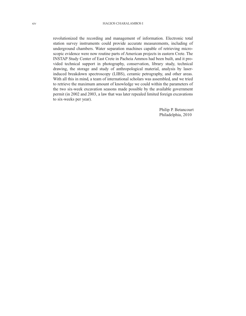revolutionized the recording and management of information. Electronic total station survey instruments could provide accurate measurements, including of underground chambers. Water separation machines capable of retrieving microscopic evidence were now routine parts of American projects in eastern Crete. The INSTAP Study Center of East Crete in Pacheia Ammos had been built, and it provided technical support in photography, conservation, library study, technical drawing, the storage and study of anthropological material, analysis by laserinduced breakdown spectroscopy (LIBS), ceramic petrography, and other areas. With all this in mind, a team of international scholars was assembled, and we tried to retrieve the maximum amount of knowledge we could within the parameters of the two six-week excavation seasons made possible by the available government permit (in 2002 and 2003, a law that was later repealed limited foreign excavations to six-weeks per year).

> Philip P. Betancourt Philadelphia, 2010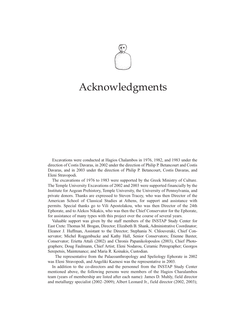

#### Acknowledgments

Excavations were conducted at Hagios Chalambos in 1976, 1982, and 1983 under the direction of Costis Davaras, in 2002 under the direction of Philip P. Betancourt and Costis Davaras, and in 2003 under the direction of Philip P. Betancourt, Costis Davaras, and Eleni Stravopodi.

The excavations of 1976 to 1983 were supported by the Greek Ministry of Culture. The Temple University Excavations of 2002 and 2003 were supported financially by the Institute for Aegean Prehistory, Temple University, the University of Pennsylvania, and private donors. Thanks are expressed to Steven Tracey, who was then Director of the American School of Classical Studies at Athens, for support and assistance with permits. Special thanks go to Vili Apostolakou, who was then Director of the 24th Ephorate, and to Alekos Nikakis, who was then the Chief Conservator for the Ephorate, for assistance of many types with this project over the course of several years.

Valuable support was given by the staff members of the INSTAP Study Center for East Crete: Thomas M. Brogan, Director; Elizabeth B. Shank, Administrative Coordinator; Eleanor J. Huffman, Assistant to the Director; Stephania N. Chlouveraki, Chief Conservator; Michel Roggenbucke and Kathy Hall, Senior Conservators; Étienne Baxter, Conservator; Erietta Attali (2002) and Chronis Papanikolopoulos (2003), Chief Photographers; Doug Faulmann, Chief Artist; Eleni Nodarou, Ceramic Petrographer; Georgos Serepetsis, Maintenance; and Maria R. Koinakis, Custodian.

The representative from the Palaeoanthropology and Speliology Ephorate in 2002 was Eleni Stravopodi, and Angeliki Kaznesi was the representative in 2003.

In addition to the co-directors and the personnel from the INSTAP Study Center mentioned above, the following persons were members of the Hagios Charalambos team (years of membership are listed after each name): James D. Muhly, field director and metallurgy specialist (2002–2009); Albert Leonard Jr., field director (2002, 2003);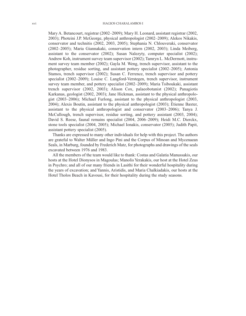Mary A. Betancourt, registrar (2002–2009); Mary H. Leonard, assistant registrar (2002, 2003); Photeini J.P. McGeorge, physical anthropologist (2002–2009); Alekos Nikakis, conservator and technitis (2002, 2003, 2005); Stephania N. Chlouveraki, conservator (2002–2005); Maria Giannakaki, conservation intern (2002, 2003); Linda Meiberg, assistant to the conservator (2002); Susan Nalezyty, computer specialist (2002); Andrew Koh, instrument survey team supervisor (2002); Tamryn L. McDermott, instrument survey team member (2002); Gayla M. Weng, trench supervisor, assistant to the photographer, residue sorting, and assistant pottery specialist (2002–2005); Antonia Stamos, trench supervisor (2002); Susan C. Ferrence, trench supervisor and pottery specialist (2002–2009); Louise C. Langford-Verstegen, trench supervisor, instrument survey team member, and pottery specialist (2002–2009); Maria Tsiboukaki, assistant trench supervisor (2002, 2003); Alison Cox, palaeobotanist (2002); Panagiotis Karkanas, geologist (2002, 2003); Jane Hickman, assistant to the physical anthropologist (2003–2006); Michael Furlong, assistant to the physical anthropologist (2003, 2004); Alexis Boutin, assistant to the physical anthropologist (2003); Étienne Baxter, assistant to the physical anthropologist and conservator (2003–2006); Tanya J. McCullough, trench supervisor, residue sorting, and pottery assistant (2003, 2004); David S. Reese, faunal remains specialist (2004, 2006–2009); Heidi M.C. Dierckx, stone tools specialist (2004, 2005); Michael Ionakis, conservator (2005); Judith Papit, assistant pottery specialist (2005).

Thanks are expressed to many other individuals for help with this project. The authors are grateful to Walter Müller and Ingo Pini and the Corpus of Minoan and Mycenaean Seals, in Marburg, founded by Frederich Matz, for photographs and drawings of the seals excavated between 1976 and 1983.

All the members of the team would like to thank: Costas and Galatia Manussakis, our hosts at the Hotel Dionysos in Magoulas; Manolis Yerakakis, our host at the Hotel Zeus in Psychro; and all of our many friends in Lasithi for their wonderful hospitality during the years of excavation; and Yannis, Aristidis, and Maria Chalkiadakis, our hosts at the Hotel Tholos Beach in Kavousi, for their hospitality during the study seasons.